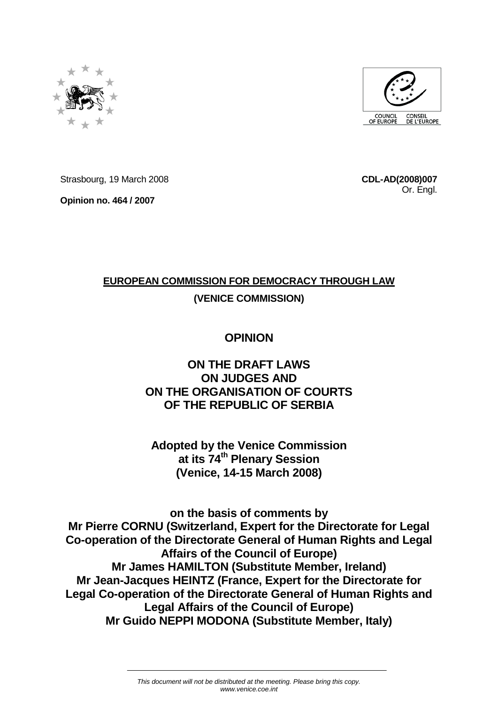



Strasbourg, 19 March 2008

**Opinion no. 464 / 2007**

**CDL-AD(2008)007** Or. Engl.

# **EUROPEAN COMMISSION FOR DEMOCRACY THROUGH LAW**

# **(VENICE COMMISSION)**

# **OPINION**

# **ON THE DRAFT LAWS ON JUDGES AND ON THE ORGANISATION OF COURTS OF THE REPUBLIC OF SERBIA**

**Adopted by the Venice Commission at its 74th Plenary Session (Venice, 14-15 March 2008)**

**on the basis of comments by Mr Pierre CORNU (Switzerland, Expert for the Directorate for Legal Co-operation of the Directorate General of Human Rights and Legal Affairs of the Council of Europe) Mr James HAMILTON (Substitute Member, Ireland) Mr Jean-Jacques HEINTZ (France, Expert for the Directorate for Legal Co-operation of the Directorate General of Human Rights and Legal Affairs of the Council of Europe) Mr Guido NEPPI MODONA (Substitute Member, Italy)**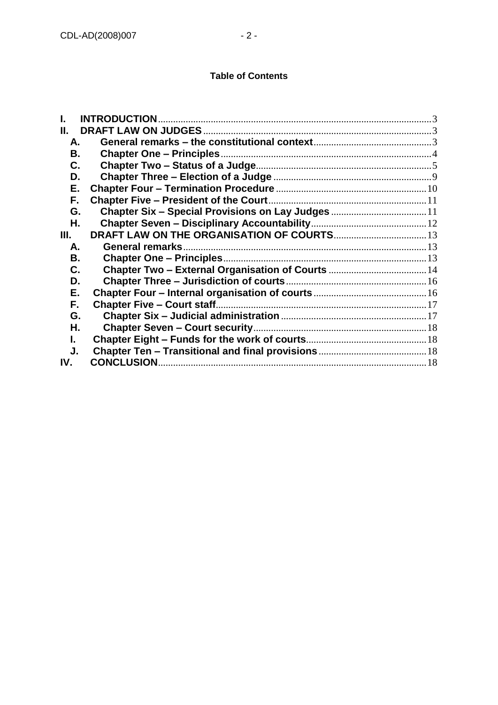| Н.  |  |
|-----|--|
| А.  |  |
| В.  |  |
| C.  |  |
| D.  |  |
| Е.  |  |
| F.  |  |
| G.  |  |
| Η.  |  |
| Ш.  |  |
| А.  |  |
| В.  |  |
| C.  |  |
| D.  |  |
| Е.  |  |
| F.  |  |
| G.  |  |
| Н.  |  |
| L.  |  |
| J.  |  |
| IV. |  |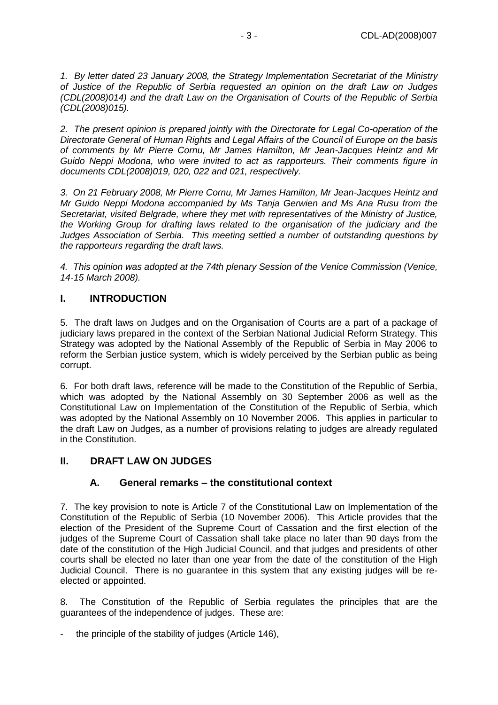*1. By letter dated 23 January 2008, the Strategy Implementation Secretariat of the Ministry of Justice of the Republic of Serbia requested an opinion on the draft Law on Judges (CDL(2008)014) and the draft Law on the Organisation of Courts of the Republic of Serbia (CDL(2008)015).*

*2. The present opinion is prepared jointly with the Directorate for Legal Co-operation of the Directorate General of Human Rights and Legal Affairs of the Council of Europe on the basis of comments by Mr Pierre Cornu, Mr James Hamilton, Mr Jean-Jacques Heintz and Mr Guido Neppi Modona, who were invited to act as rapporteurs. Their comments figure in documents CDL(2008)019, 020, 022 and 021, respectively.*

*3. On 21 February 2008, Mr Pierre Cornu, Mr James Hamilton, Mr Jean-Jacques Heintz and Mr Guido Neppi Modona accompanied by Ms Tanja Gerwien and Ms Ana Rusu from the Secretariat, visited Belgrade, where they met with representatives of the Ministry of Justice, the Working Group for drafting laws related to the organisation of the judiciary and the Judges Association of Serbia. This meeting settled a number of outstanding questions by the rapporteurs regarding the draft laws.*

*4. This opinion was adopted at the 74th plenary Session of the Venice Commission (Venice, 14-15 March 2008).*

# <span id="page-2-0"></span>**I. INTRODUCTION**

5. The draft laws on Judges and on the Organisation of Courts are a part of a package of judiciary laws prepared in the context of the Serbian National Judicial Reform Strategy. This Strategy was adopted by the National Assembly of the Republic of Serbia in May 2006 to reform the Serbian justice system, which is widely perceived by the Serbian public as being corrupt.

6. For both draft laws, reference will be made to the Constitution of the Republic of Serbia, which was adopted by the National Assembly on 30 September 2006 as well as the Constitutional Law on Implementation of the Constitution of the Republic of Serbia, which was adopted by the National Assembly on 10 November 2006. This applies in particular to the draft Law on Judges, as a number of provisions relating to judges are already regulated in the Constitution.

# <span id="page-2-2"></span><span id="page-2-1"></span>**II. DRAFT LAW ON JUDGES**

# **A. General remarks – the constitutional context**

7. The key provision to note is Article 7 of the Constitutional Law on Implementation of the Constitution of the Republic of Serbia (10 November 2006). This Article provides that the election of the President of the Supreme Court of Cassation and the first election of the judges of the Supreme Court of Cassation shall take place no later than 90 days from the date of the constitution of the High Judicial Council, and that judges and presidents of other courts shall be elected no later than one year from the date of the constitution of the High Judicial Council. There is no guarantee in this system that any existing judges will be reelected or appointed.

8. The Constitution of the Republic of Serbia regulates the principles that are the guarantees of the independence of judges. These are:

the principle of the stability of judges (Article 146),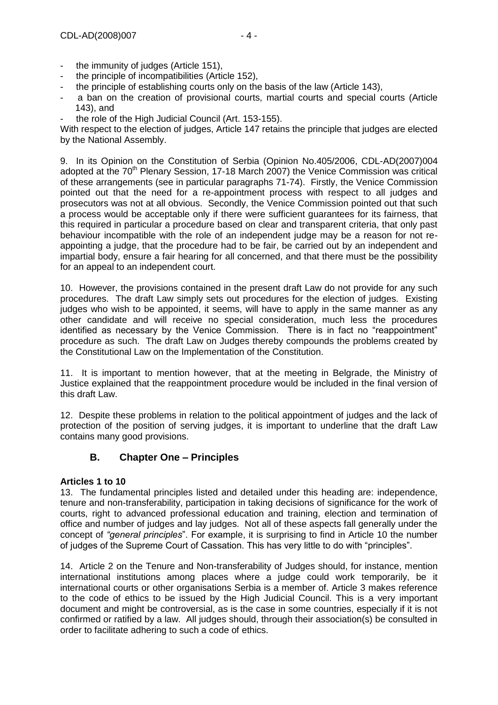- the immunity of judges (Article 151),
- the principle of incompatibilities (Article 152),
- the principle of establishing courts only on the basis of the law (Article 143),
- a ban on the creation of provisional courts, martial courts and special courts (Article 143), and
- the role of the High Judicial Council (Art. 153-155).

With respect to the election of judges, Article 147 retains the principle that judges are elected by the National Assembly.

9. In its Opinion on the Constitution of Serbia (Opinion No.405/2006, CDL-AD(2007)004 adopted at the  $70<sup>th</sup>$  Plenary Session, 17-18 March 2007) the Venice Commission was critical of these arrangements (see in particular paragraphs 71-74). Firstly, the Venice Commission pointed out that the need for a re-appointment process with respect to all judges and prosecutors was not at all obvious. Secondly, the Venice Commission pointed out that such a process would be acceptable only if there were sufficient guarantees for its fairness, that this required in particular a procedure based on clear and transparent criteria, that only past behaviour incompatible with the role of an independent judge may be a reason for not reappointing a judge, that the procedure had to be fair, be carried out by an independent and impartial body, ensure a fair hearing for all concerned, and that there must be the possibility for an appeal to an independent court.

10. However, the provisions contained in the present draft Law do not provide for any such procedures. The draft Law simply sets out procedures for the election of judges. Existing judges who wish to be appointed, it seems, will have to apply in the same manner as any other candidate and will receive no special consideration, much less the procedures identified as necessary by the Venice Commission. There is in fact no "reappointment" procedure as such. The draft Law on Judges thereby compounds the problems created by the Constitutional Law on the Implementation of the Constitution.

11. It is important to mention however, that at the meeting in Belgrade, the Ministry of Justice explained that the reappointment procedure would be included in the final version of this draft Law.

<span id="page-3-0"></span>12. Despite these problems in relation to the political appointment of judges and the lack of protection of the position of serving judges, it is important to underline that the draft Law contains many good provisions.

# **B. Chapter One – Principles**

## **Articles 1 to 10**

13. The fundamental principles listed and detailed under this heading are: independence, tenure and non-transferability, participation in taking decisions of significance for the work of courts, right to advanced professional education and training, election and termination of office and number of judges and lay judges. Not all of these aspects fall generally under the concept of *"general principles*". For example, it is surprising to find in Article 10 the number of judges of the Supreme Court of Cassation. This has very little to do with "principles".

14. Article 2 on the Tenure and Non-transferability of Judges should, for instance, mention international institutions among places where a judge could work temporarily, be it international courts or other organisations Serbia is a member of. Article 3 makes reference to the code of ethics to be issued by the High Judicial Council. This is a very important document and might be controversial, as is the case in some countries, especially if it is not confirmed or ratified by a law. All judges should, through their association(s) be consulted in order to facilitate adhering to such a code of ethics.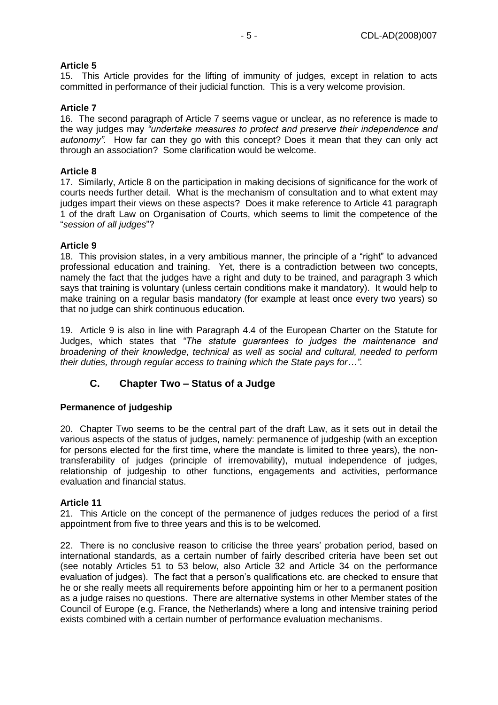## **Article 5**

15. This Article provides for the lifting of immunity of judges, except in relation to acts committed in performance of their judicial function. This is a very welcome provision.

## **Article 7**

16. The second paragraph of Article 7 seems vague or unclear, as no reference is made to the way judges may *"undertake measures to protect and preserve their independence and autonomy".* How far can they go with this concept? Does it mean that they can only act through an association? Some clarification would be welcome.

## **Article 8**

17. Similarly, Article 8 on the participation in making decisions of significance for the work of courts needs further detail. What is the mechanism of consultation and to what extent may judges impart their views on these aspects? Does it make reference to Article 41 paragraph 1 of the draft Law on Organisation of Courts, which seems to limit the competence of the "*session of all judges*"?

## **Article 9**

18. This provision states, in a very ambitious manner, the principle of a "right" to advanced professional education and training. Yet, there is a contradiction between two concepts, namely the fact that the judges have a right and duty to be trained, and paragraph 3 which says that training is voluntary (unless certain conditions make it mandatory). It would help to make training on a regular basis mandatory (for example at least once every two years) so that no judge can shirk continuous education.

19. Article 9 is also in line with Paragraph 4.4 of the European Charter on the Statute for Judges, which states that *"The statute guarantees to judges the maintenance and broadening of their knowledge, technical as well as social and cultural, needed to perform their duties, through regular access to training which the State pays for…".*

# <span id="page-4-0"></span>**C. Chapter Two – Status of a Judge**

# **Permanence of judgeship**

20. Chapter Two seems to be the central part of the draft Law, as it sets out in detail the various aspects of the status of judges, namely: permanence of judgeship (with an exception for persons elected for the first time, where the mandate is limited to three years), the nontransferability of judges (principle of irremovability), mutual independence of judges, relationship of judgeship to other functions, engagements and activities, performance evaluation and financial status.

## **Article 11**

21. This Article on the concept of the permanence of judges reduces the period of a first appointment from five to three years and this is to be welcomed.

22. There is no conclusive reason to criticise the three years' probation period, based on international standards, as a certain number of fairly described criteria have been set out (see notably Articles 51 to 53 below, also Article 32 and Article 34 on the performance evaluation of judges). The fact that a person's qualifications etc. are checked to ensure that he or she really meets all requirements before appointing him or her to a permanent position as a judge raises no questions. There are alternative systems in other Member states of the Council of Europe (e.g. France, the Netherlands) where a long and intensive training period exists combined with a certain number of performance evaluation mechanisms.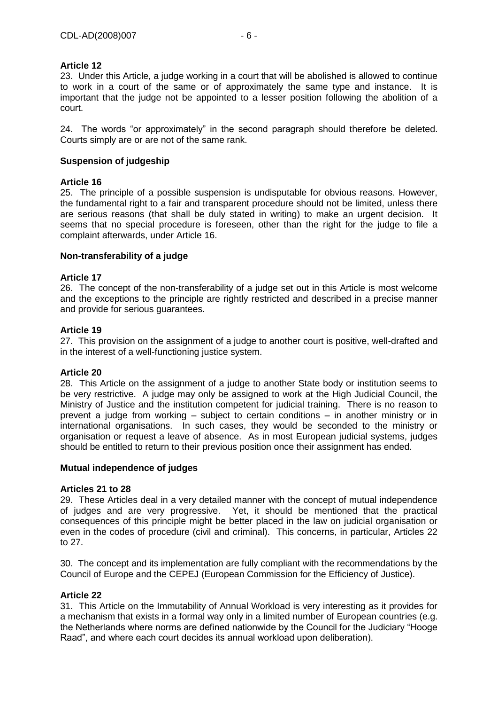## **Article 12**

23. Under this Article, a judge working in a court that will be abolished is allowed to continue to work in a court of the same or of approximately the same type and instance. It is important that the judge not be appointed to a lesser position following the abolition of a court.

24. The words "or approximately" in the second paragraph should therefore be deleted. Courts simply are or are not of the same rank.

## **Suspension of judgeship**

## **Article 16**

25. The principle of a possible suspension is undisputable for obvious reasons. However, the fundamental right to a fair and transparent procedure should not be limited, unless there are serious reasons (that shall be duly stated in writing) to make an urgent decision. It seems that no special procedure is foreseen, other than the right for the judge to file a complaint afterwards, under Article 16.

## **Non-transferability of a judge**

## **Article 17**

26. The concept of the non-transferability of a judge set out in this Article is most welcome and the exceptions to the principle are rightly restricted and described in a precise manner and provide for serious guarantees.

## **Article 19**

27. This provision on the assignment of a judge to another court is positive, well-drafted and in the interest of a well-functioning justice system.

## **Article 20**

28. This Article on the assignment of a judge to another State body or institution seems to be very restrictive. A judge may only be assigned to work at the High Judicial Council, the Ministry of Justice and the institution competent for judicial training. There is no reason to prevent a judge from working – subject to certain conditions – in another ministry or in international organisations. In such cases, they would be seconded to the ministry or organisation or request a leave of absence. As in most European judicial systems, judges should be entitled to return to their previous position once their assignment has ended.

## **Mutual independence of judges**

## **Articles 21 to 28**

29. These Articles deal in a very detailed manner with the concept of mutual independence of judges and are very progressive. Yet, it should be mentioned that the practical consequences of this principle might be better placed in the law on judicial organisation or even in the codes of procedure (civil and criminal). This concerns, in particular, Articles 22 to 27.

30. The concept and its implementation are fully compliant with the recommendations by the Council of Europe and the CEPEJ (European Commission for the Efficiency of Justice).

## **Article 22**

31. This Article on the Immutability of Annual Workload is very interesting as it provides for a mechanism that exists in a formal way only in a limited number of European countries (e.g. the Netherlands where norms are defined nationwide by the Council for the Judiciary "Hooge Raad", and where each court decides its annual workload upon deliberation).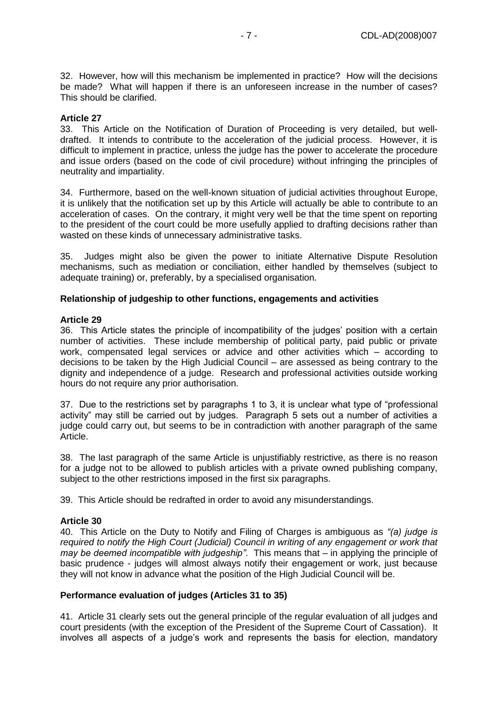32. However, how will this mechanism be implemented in practice? How will the decisions be made? What will happen if there is an unforeseen increase in the number of cases? This should be clarified.

### **Article 27**

33. This Article on the Notification of Duration of Proceeding is very detailed, but welldrafted. It intends to contribute to the acceleration of the judicial process. However, it is difficult to implement in practice, unless the judge has the power to accelerate the procedure and issue orders (based on the code of civil procedure) without infringing the principles of neutrality and impartiality.

34. Furthermore, based on the well-known situation of judicial activities throughout Europe, it is unlikely that the notification set up by this Article will actually be able to contribute to an acceleration of cases. On the contrary, it might very well be that the time spent on reporting to the president of the court could be more usefully applied to drafting decisions rather than wasted on these kinds of unnecessary administrative tasks.

35. Judges might also be given the power to initiate Alternative Dispute Resolution mechanisms, such as mediation or conciliation, either handled by themselves (subject to adequate training) or, preferably, by a specialised organisation.

### **Relationship of judgeship to other functions, engagements and activities**

#### **Article 29**

36. This Article states the principle of incompatibility of the judges' position with a certain number of activities. These include membership of political party, paid public or private work, compensated legal services or advice and other activities which – according to decisions to be taken by the High Judicial Council – are assessed as being contrary to the dignity and independence of a judge. Research and professional activities outside working hours do not require any prior authorisation.

37. Due to the restrictions set by paragraphs 1 to 3, it is unclear what type of "professional activity" may still be carried out by judges. Paragraph 5 sets out a number of activities a judge could carry out, but seems to be in contradiction with another paragraph of the same Article.

38. The last paragraph of the same Article is unjustifiably restrictive, as there is no reason for a judge not to be allowed to publish articles with a private owned publishing company, subject to the other restrictions imposed in the first six paragraphs.

39. This Article should be redrafted in order to avoid any misunderstandings.

### **Article 30**

40. This Article on the Duty to Notify and Filing of Charges is ambiguous as *"(a) judge is required to notify the High Court (Judicial) Council in writing of any engagement or work that may be deemed incompatible with judgeship"*. This means that – in applying the principle of basic prudence - judges will almost always notify their engagement or work, just because they will not know in advance what the position of the High Judicial Council will be.

### **Performance evaluation of judges (Articles 31 to 35)**

41. Article 31 clearly sets out the general principle of the regular evaluation of all judges and court presidents (with the exception of the President of the Supreme Court of Cassation). It involves all aspects of a judge's work and represents the basis for election, mandatory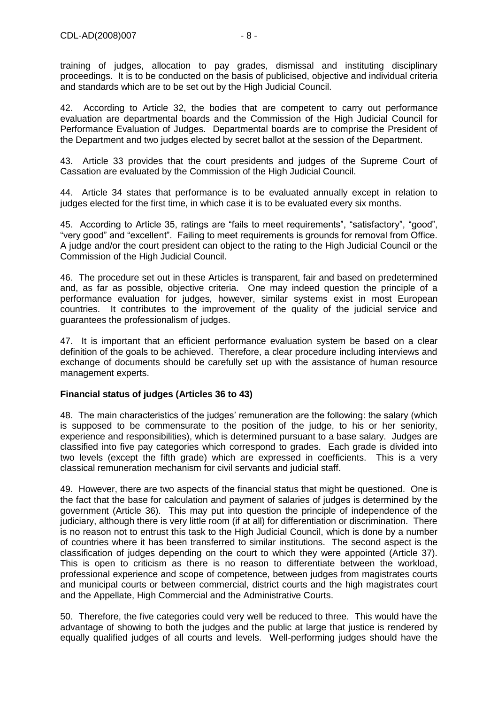training of judges, allocation to pay grades, dismissal and instituting disciplinary proceedings. It is to be conducted on the basis of publicised, objective and individual criteria and standards which are to be set out by the High Judicial Council.

42. According to Article 32, the bodies that are competent to carry out performance evaluation are departmental boards and the Commission of the High Judicial Council for Performance Evaluation of Judges. Departmental boards are to comprise the President of the Department and two judges elected by secret ballot at the session of the Department.

43. Article 33 provides that the court presidents and judges of the Supreme Court of Cassation are evaluated by the Commission of the High Judicial Council.

44. Article 34 states that performance is to be evaluated annually except in relation to judges elected for the first time, in which case it is to be evaluated every six months.

45. According to Article 35, ratings are "fails to meet requirements", "satisfactory", "good", "very good" and "excellent". Failing to meet requirements is grounds for removal from Office. A judge and/or the court president can object to the rating to the High Judicial Council or the Commission of the High Judicial Council.

46. The procedure set out in these Articles is transparent, fair and based on predetermined and, as far as possible, objective criteria. One may indeed question the principle of a performance evaluation for judges, however, similar systems exist in most European countries. It contributes to the improvement of the quality of the judicial service and guarantees the professionalism of judges.

47. It is important that an efficient performance evaluation system be based on a clear definition of the goals to be achieved. Therefore, a clear procedure including interviews and exchange of documents should be carefully set up with the assistance of human resource management experts.

## **Financial status of judges (Articles 36 to 43)**

48. The main characteristics of the judges' remuneration are the following: the salary (which is supposed to be commensurate to the position of the judge, to his or her seniority, experience and responsibilities), which is determined pursuant to a base salary. Judges are classified into five pay categories which correspond to grades. Each grade is divided into two levels (except the fifth grade) which are expressed in coefficients. This is a very classical remuneration mechanism for civil servants and judicial staff.

49. However, there are two aspects of the financial status that might be questioned. One is the fact that the base for calculation and payment of salaries of judges is determined by the government (Article 36). This may put into question the principle of independence of the judiciary, although there is very little room (if at all) for differentiation or discrimination. There is no reason not to entrust this task to the High Judicial Council, which is done by a number of countries where it has been transferred to similar institutions. The second aspect is the classification of judges depending on the court to which they were appointed (Article 37). This is open to criticism as there is no reason to differentiate between the workload, professional experience and scope of competence, between judges from magistrates courts and municipal courts or between commercial, district courts and the high magistrates court and the Appellate, High Commercial and the Administrative Courts.

50. Therefore, the five categories could very well be reduced to three. This would have the advantage of showing to both the judges and the public at large that justice is rendered by equally qualified judges of all courts and levels. Well-performing judges should have the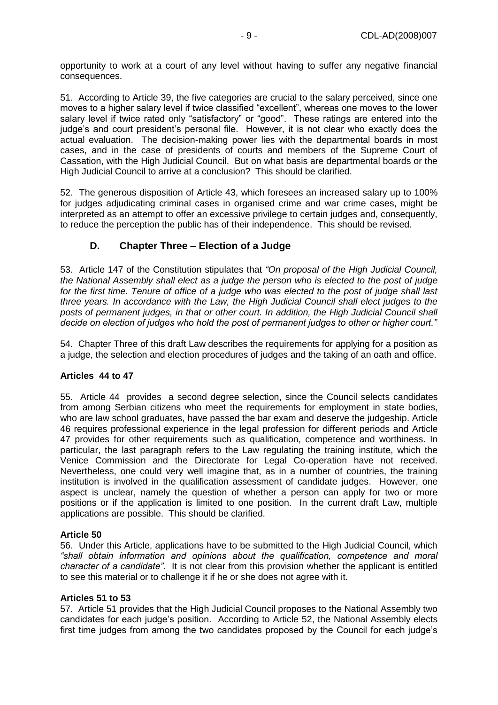opportunity to work at a court of any level without having to suffer any negative financial consequences.

51. According to Article 39, the five categories are crucial to the salary perceived, since one moves to a higher salary level if twice classified "excellent", whereas one moves to the lower salary level if twice rated only "satisfactory" or "good". These ratings are entered into the judge's and court president's personal file. However, it is not clear who exactly does the actual evaluation. The decision-making power lies with the departmental boards in most cases, and in the case of presidents of courts and members of the Supreme Court of Cassation, with the High Judicial Council. But on what basis are departmental boards or the High Judicial Council to arrive at a conclusion? This should be clarified.

52. The generous disposition of Article 43, which foresees an increased salary up to 100% for judges adjudicating criminal cases in organised crime and war crime cases, might be interpreted as an attempt to offer an excessive privilege to certain judges and, consequently, to reduce the perception the public has of their independence. This should be revised.

# <span id="page-8-0"></span>**D. Chapter Three – Election of a Judge**

53. Article 147 of the Constitution stipulates that *"On proposal of the High Judicial Council, the National Assembly shall elect as a judge the person who is elected to the post of judge for the first time. Tenure of office of a judge who was elected to the post of judge shall last three years. In accordance with the Law, the High Judicial Council shall elect judges to the posts of permanent judges, in that or other court. In addition, the High Judicial Council shall decide on election of judges who hold the post of permanent judges to other or higher court."*

54. Chapter Three of this draft Law describes the requirements for applying for a position as a judge, the selection and election procedures of judges and the taking of an oath and office.

## **Articles 44 to 47**

55. Article 44 provides a second degree selection, since the Council selects candidates from among Serbian citizens who meet the requirements for employment in state bodies, who are law school graduates, have passed the bar exam and deserve the judgeship. Article 46 requires professional experience in the legal profession for different periods and Article 47 provides for other requirements such as qualification, competence and worthiness. In particular, the last paragraph refers to the Law regulating the training institute, which the Venice Commission and the Directorate for Legal Co-operation have not received. Nevertheless, one could very well imagine that, as in a number of countries, the training institution is involved in the qualification assessment of candidate judges. However, one aspect is unclear, namely the question of whether a person can apply for two or more positions or if the application is limited to one position. In the current draft Law, multiple applications are possible. This should be clarified.

## **Article 50**

56. Under this Article, applications have to be submitted to the High Judicial Council, which *"shall obtain information and opinions about the qualification, competence and moral character of a candidate".* It is not clear from this provision whether the applicant is entitled to see this material or to challenge it if he or she does not agree with it.

## **Articles 51 to 53**

57. Article 51 provides that the High Judicial Council proposes to the National Assembly two candidates for each judge's position. According to Article 52, the National Assembly elects first time judges from among the two candidates proposed by the Council for each judge's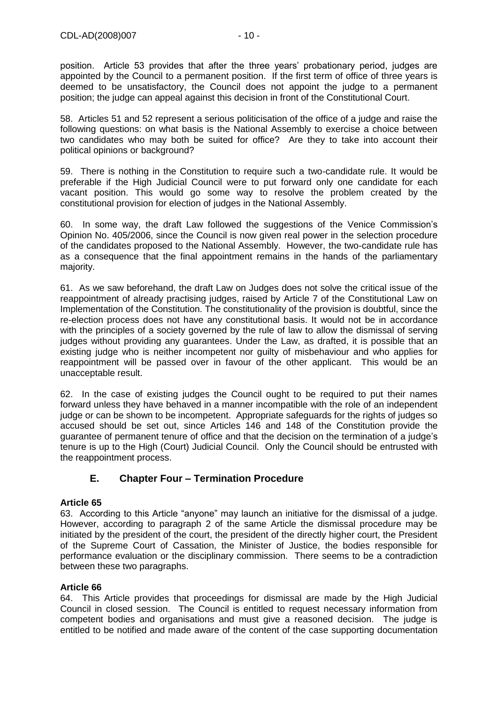position. Article 53 provides that after the three years' probationary period, judges are appointed by the Council to a permanent position. If the first term of office of three years is deemed to be unsatisfactory, the Council does not appoint the judge to a permanent position; the judge can appeal against this decision in front of the Constitutional Court.

58. Articles 51 and 52 represent a serious politicisation of the office of a judge and raise the following questions: on what basis is the National Assembly to exercise a choice between two candidates who may both be suited for office? Are they to take into account their political opinions or background?

59. There is nothing in the Constitution to require such a two-candidate rule. It would be preferable if the High Judicial Council were to put forward only one candidate for each vacant position. This would go some way to resolve the problem created by the constitutional provision for election of judges in the National Assembly.

60. In some way, the draft Law followed the suggestions of the Venice Commission's Opinion No. 405/2006, since the Council is now given real power in the selection procedure of the candidates proposed to the National Assembly. However, the two-candidate rule has as a consequence that the final appointment remains in the hands of the parliamentary majority.

<span id="page-9-0"></span>61. As we saw beforehand, the draft Law on Judges does not solve the critical issue of the reappointment of already practising judges, raised by Article 7 of the Constitutional Law on Implementation of the Constitution. The constitutionality of the provision is doubtful, since the re-election process does not have any constitutional basis. It would not be in accordance with the principles of a society governed by the rule of law to allow the dismissal of serving judges without providing any guarantees. Under the Law, as drafted, it is possible that an existing judge who is neither incompetent nor guilty of misbehaviour and who applies for reappointment will be passed over in favour of the other applicant. This would be an unacceptable result.

62. In the case of existing judges the Council ought to be required to put their names forward unless they have behaved in a manner incompatible with the role of an independent judge or can be shown to be incompetent. Appropriate safeguards for the rights of judges so accused should be set out, since Articles 146 and 148 of the Constitution provide the guarantee of permanent tenure of office and that the decision on the termination of a judge's tenure is up to the High (Court) Judicial Council. Only the Council should be entrusted with the reappointment process.

# **E. Chapter Four – Termination Procedure**

## **Article 65**

63. According to this Article "anyone" may launch an initiative for the dismissal of a judge. However, according to paragraph 2 of the same Article the dismissal procedure may be initiated by the president of the court, the president of the directly higher court, the President of the Supreme Court of Cassation, the Minister of Justice, the bodies responsible for performance evaluation or the disciplinary commission. There seems to be a contradiction between these two paragraphs.

## **Article 66**

64. This Article provides that proceedings for dismissal are made by the High Judicial Council in closed session. The Council is entitled to request necessary information from competent bodies and organisations and must give a reasoned decision. The judge is entitled to be notified and made aware of the content of the case supporting documentation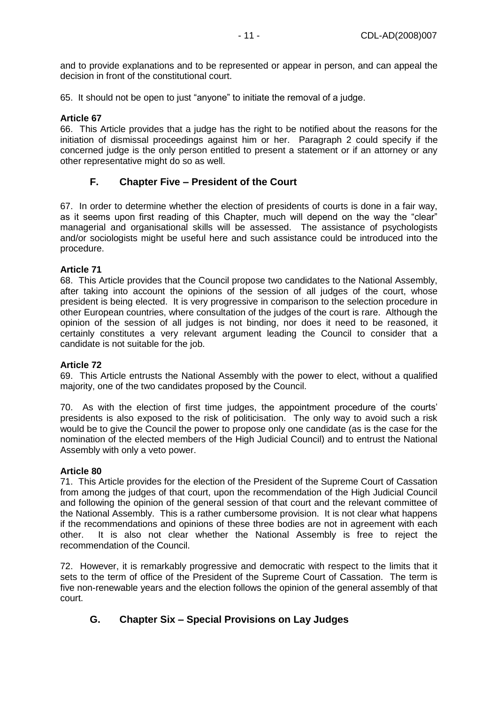and to provide explanations and to be represented or appear in person, and can appeal the decision in front of the constitutional court.

65. It should not be open to just "anyone" to initiate the removal of a judge.

### **Article 67**

66. This Article provides that a judge has the right to be notified about the reasons for the initiation of dismissal proceedings against him or her. Paragraph 2 could specify if the concerned judge is the only person entitled to present a statement or if an attorney or any other representative might do so as well.

# <span id="page-10-0"></span>**F. Chapter Five – President of the Court**

67. In order to determine whether the election of presidents of courts is done in a fair way, as it seems upon first reading of this Chapter, much will depend on the way the "clear" managerial and organisational skills will be assessed. The assistance of psychologists and/or sociologists might be useful here and such assistance could be introduced into the procedure.

### **Article 71**

68. This Article provides that the Council propose two candidates to the National Assembly, after taking into account the opinions of the session of all judges of the court, whose president is being elected. It is very progressive in comparison to the selection procedure in other European countries, where consultation of the judges of the court is rare. Although the opinion of the session of all judges is not binding, nor does it need to be reasoned, it certainly constitutes a very relevant argument leading the Council to consider that a candidate is not suitable for the job.

### **Article 72**

69. This Article entrusts the National Assembly with the power to elect, without a qualified majority, one of the two candidates proposed by the Council.

70. As with the election of first time judges, the appointment procedure of the courts' presidents is also exposed to the risk of politicisation. The only way to avoid such a risk would be to give the Council the power to propose only one candidate (as is the case for the nomination of the elected members of the High Judicial Council) and to entrust the National Assembly with only a veto power.

### **Article 80**

71. This Article provides for the election of the President of the Supreme Court of Cassation from among the judges of that court, upon the recommendation of the High Judicial Council and following the opinion of the general session of that court and the relevant committee of the National Assembly. This is a rather cumbersome provision. It is not clear what happens if the recommendations and opinions of these three bodies are not in agreement with each other. It is also not clear whether the National Assembly is free to reject the recommendation of the Council.

72. However, it is remarkably progressive and democratic with respect to the limits that it sets to the term of office of the President of the Supreme Court of Cassation. The term is five non-renewable years and the election follows the opinion of the general assembly of that court.

# <span id="page-10-1"></span>**G. Chapter Six – Special Provisions on Lay Judges**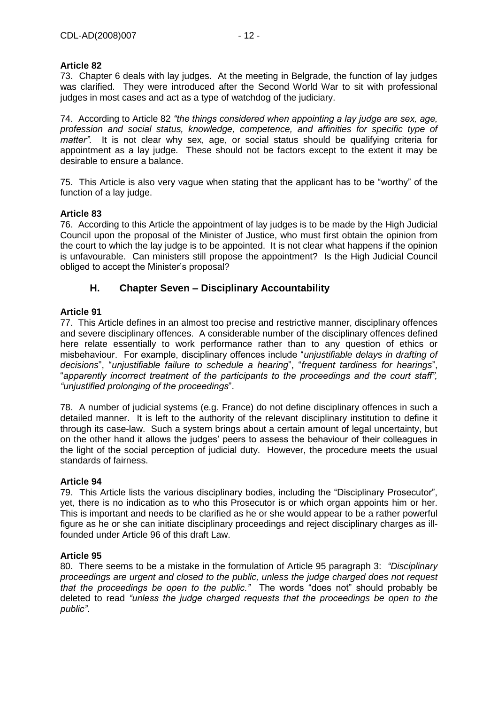## **Article 82**

73. Chapter 6 deals with lay judges. At the meeting in Belgrade, the function of lay judges was clarified. They were introduced after the Second World War to sit with professional judges in most cases and act as a type of watchdog of the judiciary.

74. According to Article 82 *"the things considered when appointing a lay judge are sex, age, profession and social status, knowledge, competence, and affinities for specific type of matter".* It is not clear why sex, age, or social status should be qualifying criteria for appointment as a lay judge. These should not be factors except to the extent it may be desirable to ensure a balance.

75. This Article is also very vague when stating that the applicant has to be "worthy" of the function of a lay judge.

## **Article 83**

76. According to this Article the appointment of lay judges is to be made by the High Judicial Council upon the proposal of the Minister of Justice, who must first obtain the opinion from the court to which the lay judge is to be appointed. It is not clear what happens if the opinion is unfavourable. Can ministers still propose the appointment? Is the High Judicial Council obliged to accept the Minister's proposal?

# <span id="page-11-0"></span>**H. Chapter Seven – Disciplinary Accountability**

## **Article 91**

77. This Article defines in an almost too precise and restrictive manner, disciplinary offences and severe disciplinary offences. A considerable number of the disciplinary offences defined here relate essentially to work performance rather than to any question of ethics or misbehaviour. For example, disciplinary offences include "*unjustifiable delays in drafting of decisions*", "*unjustifiable failure to schedule a hearing*", "*frequent tardiness for hearings*", "*apparently incorrect treatment of the participants to the proceedings and the court staff", "unjustified prolonging of the proceedings*".

78. A number of judicial systems (e.g. France) do not define disciplinary offences in such a detailed manner. It is left to the authority of the relevant disciplinary institution to define it through its case-law. Such a system brings about a certain amount of legal uncertainty, but on the other hand it allows the judges' peers to assess the behaviour of their colleagues in the light of the social perception of judicial duty. However, the procedure meets the usual standards of fairness.

## **Article 94**

79. This Article lists the various disciplinary bodies, including the "Disciplinary Prosecutor", yet, there is no indication as to who this Prosecutor is or which organ appoints him or her. This is important and needs to be clarified as he or she would appear to be a rather powerful figure as he or she can initiate disciplinary proceedings and reject disciplinary charges as illfounded under Article 96 of this draft Law.

## **Article 95**

80. There seems to be a mistake in the formulation of Article 95 paragraph 3:*"Disciplinary proceedings are urgent and closed to the public, unless the judge charged does not request that the proceedings be open to the public."* The words "does not" should probably be deleted to read *"unless the judge charged requests that the proceedings be open to the public"*.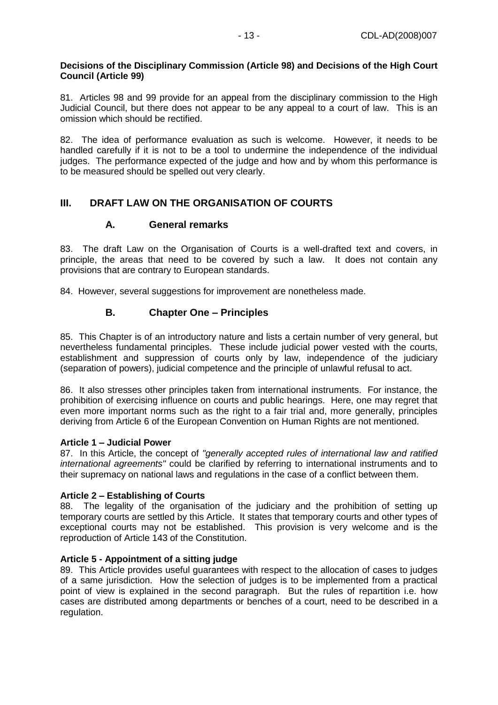## **Decisions of the Disciplinary Commission (Article 98) and Decisions of the High Court Council (Article 99)**

81. Articles 98 and 99 provide for an appeal from the disciplinary commission to the High Judicial Council, but there does not appear to be any appeal to a court of law. This is an omission which should be rectified.

82. The idea of performance evaluation as such is welcome. However, it needs to be handled carefully if it is not to be a tool to undermine the independence of the individual judges. The performance expected of the judge and how and by whom this performance is to be measured should be spelled out very clearly.

# <span id="page-12-1"></span><span id="page-12-0"></span>**III. DRAFT LAW ON THE ORGANISATION OF COURTS**

# **A. General remarks**

83. The draft Law on the Organisation of Courts is a well-drafted text and covers, in principle, the areas that need to be covered by such a law. It does not contain any provisions that are contrary to European standards.

<span id="page-12-2"></span>84. However, several suggestions for improvement are nonetheless made.

# **B. Chapter One – Principles**

85. This Chapter is of an introductory nature and lists a certain number of very general, but nevertheless fundamental principles. These include judicial power vested with the courts, establishment and suppression of courts only by law, independence of the judiciary (separation of powers), judicial competence and the principle of unlawful refusal to act.

86. It also stresses other principles taken from international instruments. For instance, the prohibition of exercising influence on courts and public hearings. Here, one may regret that even more important norms such as the right to a fair trial and, more generally, principles deriving from Article 6 of the European Convention on Human Rights are not mentioned.

## **Article 1 – Judicial Power**

87. In this Article, the concept of *"generally accepted rules of international law and ratified international agreements"* could be clarified by referring to international instruments and to their supremacy on national laws and regulations in the case of a conflict between them.

# **Article 2 – Establishing of Courts**

88. The legality of the organisation of the judiciary and the prohibition of setting up temporary courts are settled by this Article. It states that temporary courts and other types of exceptional courts may not be established. This provision is very welcome and is the reproduction of Article 143 of the Constitution.

# **Article 5 - Appointment of a sitting judge**

89. This Article provides useful guarantees with respect to the allocation of cases to judges of a same jurisdiction. How the selection of judges is to be implemented from a practical point of view is explained in the second paragraph. But the rules of repartition i.e. how cases are distributed among departments or benches of a court, need to be described in a regulation.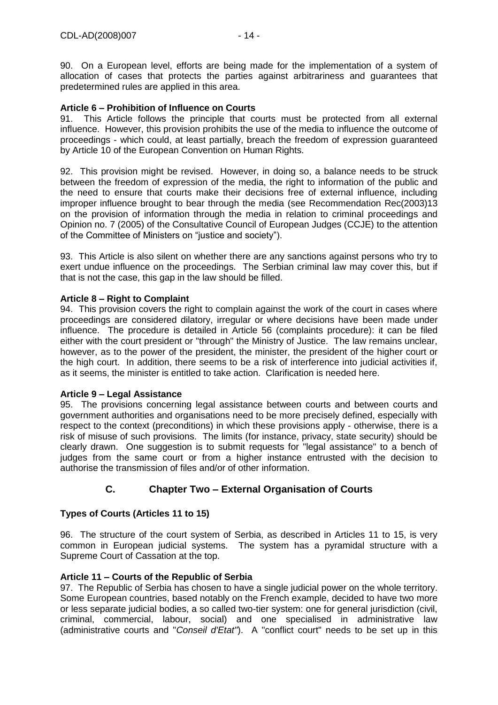90. On a European level, efforts are being made for the implementation of a system of allocation of cases that protects the parties against arbitrariness and guarantees that predetermined rules are applied in this area.

## **Article 6 – Prohibition of Influence on Courts**

91. This Article follows the principle that courts must be protected from all external influence. However, this provision prohibits the use of the media to influence the outcome of proceedings - which could, at least partially, breach the freedom of expression guaranteed by Article 10 of the European Convention on Human Rights.

92. This provision might be revised. However, in doing so, a balance needs to be struck between the freedom of expression of the media, the right to information of the public and the need to ensure that courts make their decisions free of external influence, including improper influence brought to bear through the media (see Recommendation Rec(2003)13 on the provision of information through the media in relation to criminal proceedings and Opinion no. 7 (2005) of the Consultative Council of European Judges (CCJE) to the attention of the Committee of Ministers on "justice and society").

93. This Article is also silent on whether there are any sanctions against persons who try to exert undue influence on the proceedings. The Serbian criminal law may cover this, but if that is not the case, this gap in the law should be filled.

### **Article 8 – Right to Complaint**

94. This provision covers the right to complain against the work of the court in cases where proceedings are considered dilatory, irregular or where decisions have been made under influence. The procedure is detailed in Article 56 (complaints procedure): it can be filed either with the court president or "through" the Ministry of Justice. The law remains unclear, however, as to the power of the president, the minister, the president of the higher court or the high court. In addition, there seems to be a risk of interference into judicial activities if, as it seems, the minister is entitled to take action. Clarification is needed here.

## **Article 9 – Legal Assistance**

95. The provisions concerning legal assistance between courts and between courts and government authorities and organisations need to be more precisely defined, especially with respect to the context (preconditions) in which these provisions apply - otherwise, there is a risk of misuse of such provisions. The limits (for instance, privacy, state security) should be clearly drawn. One suggestion is to submit requests for "legal assistance" to a bench of judges from the same court or from a higher instance entrusted with the decision to authorise the transmission of files and/or of other information.

# **C. Chapter Two – External Organisation of Courts**

## <span id="page-13-0"></span>**Types of Courts (Articles 11 to 15)**

96. The structure of the court system of Serbia, as described in Articles 11 to 15, is very common in European judicial systems. The system has a pyramidal structure with a Supreme Court of Cassation at the top.

## **Article 11 – Courts of the Republic of Serbia**

97. The Republic of Serbia has chosen to have a single judicial power on the whole territory. Some European countries, based notably on the French example, decided to have two more or less separate judicial bodies, a so called two-tier system: one for general jurisdiction (civil, criminal, commercial, labour, social) and one specialised in administrative law (administrative courts and "*Conseil d'Etat"*). A "conflict court" needs to be set up in this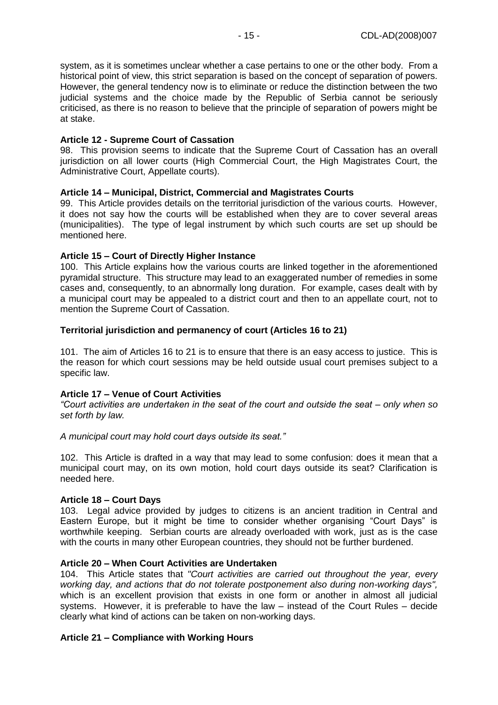system, as it is sometimes unclear whether a case pertains to one or the other body. From a historical point of view, this strict separation is based on the concept of separation of powers. However, the general tendency now is to eliminate or reduce the distinction between the two judicial systems and the choice made by the Republic of Serbia cannot be seriously criticised, as there is no reason to believe that the principle of separation of powers might be at stake.

### **Article 12 - Supreme Court of Cassation**

98. This provision seems to indicate that the Supreme Court of Cassation has an overall jurisdiction on all lower courts (High Commercial Court, the High Magistrates Court, the Administrative Court, Appellate courts).

### **Article 14 – Municipal, District, Commercial and Magistrates Courts**

99. This Article provides details on the territorial jurisdiction of the various courts. However, it does not say how the courts will be established when they are to cover several areas (municipalities). The type of legal instrument by which such courts are set up should be mentioned here.

### **Article 15 – Court of Directly Higher Instance**

100. This Article explains how the various courts are linked together in the aforementioned pyramidal structure. This structure may lead to an exaggerated number of remedies in some cases and, consequently, to an abnormally long duration. For example, cases dealt with by a municipal court may be appealed to a district court and then to an appellate court, not to mention the Supreme Court of Cassation.

### **Territorial jurisdiction and permanency of court (Articles 16 to 21)**

101. The aim of Articles 16 to 21 is to ensure that there is an easy access to justice. This is the reason for which court sessions may be held outside usual court premises subject to a specific law.

## **Article 17 – Venue of Court Activities**

*"Court activities are undertaken in the seat of the court and outside the seat – only when so set forth by law.*

### *A municipal court may hold court days outside its seat."*

102. This Article is drafted in a way that may lead to some confusion: does it mean that a municipal court may, on its own motion, hold court days outside its seat? Clarification is needed here.

### **Article 18 – Court Days**

103. Legal advice provided by judges to citizens is an ancient tradition in Central and Eastern Europe, but it might be time to consider whether organising "Court Days" is worthwhile keeping. Serbian courts are already overloaded with work, just as is the case with the courts in many other European countries, they should not be further burdened.

### **Article 20 – When Court Activities are Undertaken**

104. This Article states that *"Court activities are carried out throughout the year, every working day, and actions that do not tolerate postponement also during non-working days",*  which is an excellent provision that exists in one form or another in almost all judicial systems. However, it is preferable to have the law – instead of the Court Rules – decide clearly what kind of actions can be taken on non-working days.

## **Article 21 – Compliance with Working Hours**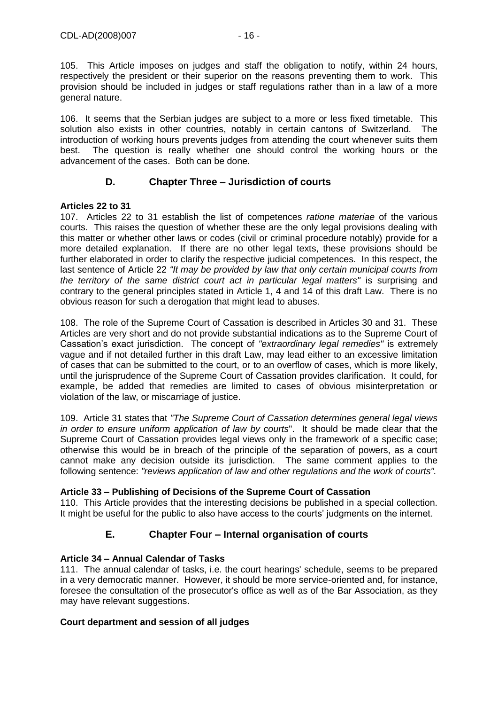105. This Article imposes on judges and staff the obligation to notify, within 24 hours, respectively the president or their superior on the reasons preventing them to work. This provision should be included in judges or staff regulations rather than in a law of a more general nature.

106. It seems that the Serbian judges are subject to a more or less fixed timetable. This solution also exists in other countries, notably in certain cantons of Switzerland. The introduction of working hours prevents judges from attending the court whenever suits them best. The question is really whether one should control the working hours or the advancement of the cases. Both can be done.

# **D. Chapter Three – Jurisdiction of courts**

## <span id="page-15-0"></span>**Articles 22 to 31**

107. Articles 22 to 31 establish the list of competences *ratione materiae* of the various courts. This raises the question of whether these are the only legal provisions dealing with this matter or whether other laws or codes (civil or criminal procedure notably) provide for a more detailed explanation. If there are no other legal texts, these provisions should be further elaborated in order to clarify the respective judicial competences. In this respect, the last sentence of Article 22 *"It may be provided by law that only certain municipal courts from the territory of the same district court act in particular legal matters"* is surprising and contrary to the general principles stated in Article 1, 4 and 14 of this draft Law. There is no obvious reason for such a derogation that might lead to abuses.

108. The role of the Supreme Court of Cassation is described in Articles 30 and 31. These Articles are very short and do not provide substantial indications as to the Supreme Court of Cassation's exact jurisdiction. The concept of *"extraordinary legal remedies"* is extremely vague and if not detailed further in this draft Law, may lead either to an excessive limitation of cases that can be submitted to the court, or to an overflow of cases, which is more likely, until the jurisprudence of the Supreme Court of Cassation provides clarification. It could, for example, be added that remedies are limited to cases of obvious misinterpretation or violation of the law, or miscarriage of justice.

109. Article 31 states that *"The Supreme Court of Cassation determines general legal views in order to ensure uniform application of law by courts*". It should be made clear that the Supreme Court of Cassation provides legal views only in the framework of a specific case; otherwise this would be in breach of the principle of the separation of powers, as a court cannot make any decision outside its jurisdiction. The same comment applies to the following sentence: *"reviews application of law and other regulations and the work of courts".*

# **Article 33 – Publishing of Decisions of the Supreme Court of Cassation**

<span id="page-15-1"></span>110. This Article provides that the interesting decisions be published in a special collection. It might be useful for the public to also have access to the courts' judgments on the internet.

# **E. Chapter Four – Internal organisation of courts**

# **Article 34 – Annual Calendar of Tasks**

111. The annual calendar of tasks, i.e. the court hearings' schedule, seems to be prepared in a very democratic manner. However, it should be more service-oriented and, for instance, foresee the consultation of the prosecutor's office as well as of the Bar Association, as they may have relevant suggestions.

## **Court department and session of all judges**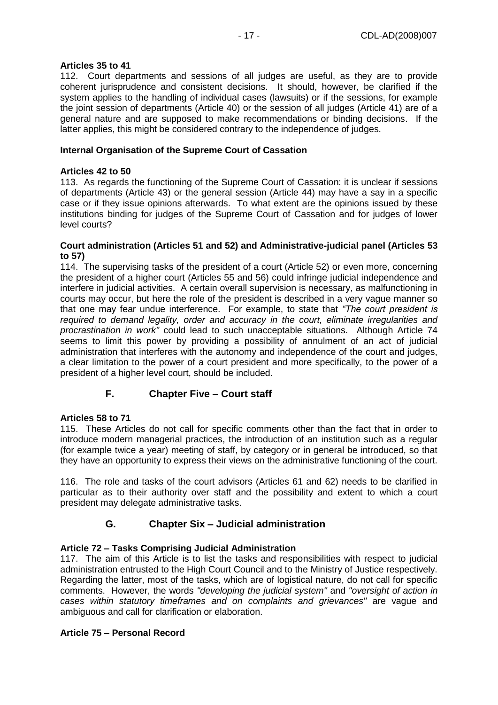## **Articles 35 to 41**

112. Court departments and sessions of all judges are useful, as they are to provide coherent jurisprudence and consistent decisions. It should, however, be clarified if the system applies to the handling of individual cases (lawsuits) or if the sessions, for example the joint session of departments (Article 40) or the session of all judges (Article 41) are of a general nature and are supposed to make recommendations or binding decisions. If the latter applies, this might be considered contrary to the independence of judges.

## **Internal Organisation of the Supreme Court of Cassation**

## **Articles 42 to 50**

113. As regards the functioning of the Supreme Court of Cassation: it is unclear if sessions of departments (Article 43) or the general session (Article 44) may have a say in a specific case or if they issue opinions afterwards. To what extent are the opinions issued by these institutions binding for judges of the Supreme Court of Cassation and for judges of lower level courts?

### **Court administration (Articles 51 and 52) and Administrative-judicial panel (Articles 53 to 57)**

114. The supervising tasks of the president of a court (Article 52) or even more, concerning the president of a higher court (Articles 55 and 56) could infringe judicial independence and interfere in judicial activities. A certain overall supervision is necessary, as malfunctioning in courts may occur, but here the role of the president is described in a very vague manner so that one may fear undue interference. For example, to state that *"The court president is required to demand legality, order and accuracy in the court, eliminate irregularities and procrastination in work"* could lead to such unacceptable situations. Although Article 74 seems to limit this power by providing a possibility of annulment of an act of judicial administration that interferes with the autonomy and independence of the court and judges, a clear limitation to the power of a court president and more specifically, to the power of a president of a higher level court, should be included.

# **F. Chapter Five – Court staff**

# <span id="page-16-0"></span>**Articles 58 to 71**

115. These Articles do not call for specific comments other than the fact that in order to introduce modern managerial practices, the introduction of an institution such as a regular (for example twice a year) meeting of staff, by category or in general be introduced, so that they have an opportunity to express their views on the administrative functioning of the court.

<span id="page-16-1"></span>116. The role and tasks of the court advisors (Articles 61 and 62) needs to be clarified in particular as to their authority over staff and the possibility and extent to which a court president may delegate administrative tasks.

# **G. Chapter Six – Judicial administration**

# **Article 72 – Tasks Comprising Judicial Administration**

117. The aim of this Article is to list the tasks and responsibilities with respect to judicial administration entrusted to the High Court Council and to the Ministry of Justice respectively. Regarding the latter, most of the tasks, which are of logistical nature, do not call for specific comments. However, the words *"developing the judicial system"* and *"oversight of action in cases within statutory timeframes and on complaints and grievances"* are vague and ambiguous and call for clarification or elaboration.

# **Article 75 – Personal Record**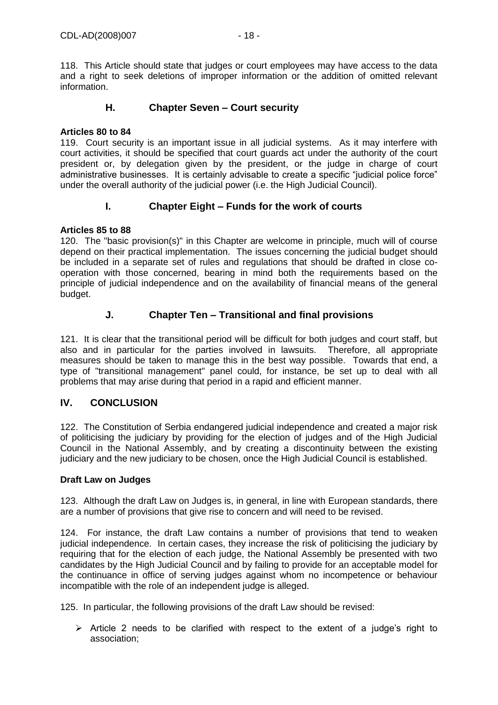<span id="page-17-0"></span>118. This Article should state that judges or court employees may have access to the data and a right to seek deletions of improper information or the addition of omitted relevant information.

## **H. Chapter Seven – Court security**

### **Articles 80 to 84**

119. Court security is an important issue in all judicial systems. As it may interfere with court activities, it should be specified that court guards act under the authority of the court president or, by delegation given by the president, or the judge in charge of court administrative businesses. It is certainly advisable to create a specific "judicial police force" under the overall authority of the judicial power (i.e. the High Judicial Council).

## **I. Chapter Eight – Funds for the work of courts**

## <span id="page-17-1"></span>**Articles 85 to 88**

120. The "basic provision(s)" in this Chapter are welcome in principle, much will of course depend on their practical implementation. The issues concerning the judicial budget should be included in a separate set of rules and regulations that should be drafted in close cooperation with those concerned, bearing in mind both the requirements based on the principle of judicial independence and on the availability of financial means of the general budget.

# **J. Chapter Ten – Transitional and final provisions**

<span id="page-17-2"></span>121. It is clear that the transitional period will be difficult for both judges and court staff, but also and in particular for the parties involved in lawsuits. Therefore, all appropriate measures should be taken to manage this in the best way possible. Towards that end, a type of "transitional management" panel could, for instance, be set up to deal with all problems that may arise during that period in a rapid and efficient manner.

# <span id="page-17-3"></span>**IV. CONCLUSION**

122. The Constitution of Serbia endangered judicial independence and created a major risk of politicising the judiciary by providing for the election of judges and of the High Judicial Council in the National Assembly, and by creating a discontinuity between the existing judiciary and the new judiciary to be chosen, once the High Judicial Council is established.

### **Draft Law on Judges**

123. Although the draft Law on Judges is, in general, in line with European standards, there are a number of provisions that give rise to concern and will need to be revised.

124. For instance, the draft Law contains a number of provisions that tend to weaken judicial independence. In certain cases, they increase the risk of politicising the judiciary by requiring that for the election of each judge, the National Assembly be presented with two candidates by the High Judicial Council and by failing to provide for an acceptable model for the continuance in office of serving judges against whom no incompetence or behaviour incompatible with the role of an independent judge is alleged.

125. In particular, the following provisions of the draft Law should be revised:

 $\triangleright$  Article 2 needs to be clarified with respect to the extent of a judge's right to association;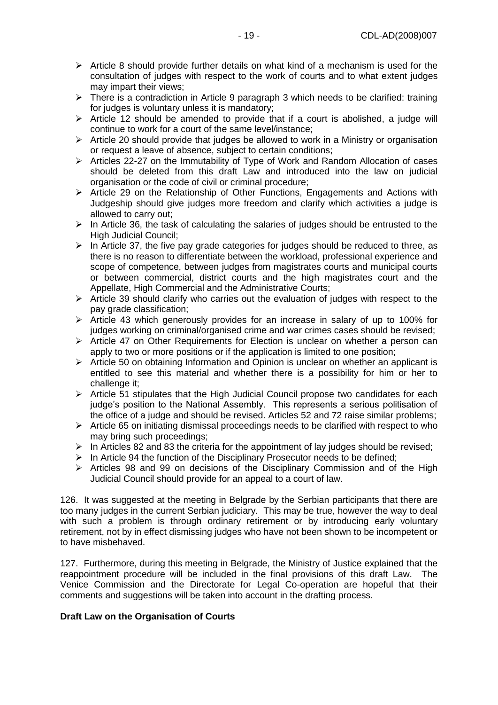- $\triangleright$  Article 8 should provide further details on what kind of a mechanism is used for the consultation of judges with respect to the work of courts and to what extent judges may impart their views;
- $\triangleright$  There is a contradiction in Article 9 paragraph 3 which needs to be clarified: training for judges is voluntary unless it is mandatory;
- $\triangleright$  Article 12 should be amended to provide that if a court is abolished, a judge will continue to work for a court of the same level/instance;
- $\triangleright$  Article 20 should provide that judges be allowed to work in a Ministry or organisation or request a leave of absence, subject to certain conditions;
- Articles 22-27 on the Immutability of Type of Work and Random Allocation of cases should be deleted from this draft Law and introduced into the law on judicial organisation or the code of civil or criminal procedure;
- $\triangleright$  Article 29 on the Relationship of Other Functions, Engagements and Actions with Judgeship should give judges more freedom and clarify which activities a judge is allowed to carry out;
- $\triangleright$  In Article 36, the task of calculating the salaries of judges should be entrusted to the High Judicial Council;
- $\triangleright$  In Article 37, the five pay grade categories for judges should be reduced to three, as there is no reason to differentiate between the workload, professional experience and scope of competence, between judges from magistrates courts and municipal courts or between commercial, district courts and the high magistrates court and the Appellate, High Commercial and the Administrative Courts;
- $\triangleright$  Article 39 should clarify who carries out the evaluation of judges with respect to the pay grade classification;
- Article 43 which generously provides for an increase in salary of up to 100% for judges working on criminal/organised crime and war crimes cases should be revised;
- $\triangleright$  Article 47 on Other Requirements for Election is unclear on whether a person can apply to two or more positions or if the application is limited to one position;
- $\triangleright$  Article 50 on obtaining Information and Opinion is unclear on whether an applicant is entitled to see this material and whether there is a possibility for him or her to challenge it:
- $\triangleright$  Article 51 stipulates that the High Judicial Council propose two candidates for each judge's position to the National Assembly. This represents a serious politisation of the office of a judge and should be revised. Articles 52 and 72 raise similar problems;
- $\triangleright$  Article 65 on initiating dismissal proceedings needs to be clarified with respect to who may bring such proceedings;
- $\triangleright$  In Articles 82 and 83 the criteria for the appointment of lay judges should be revised;
- $\triangleright$  In Article 94 the function of the Disciplinary Prosecutor needs to be defined;
- $\triangleright$  Articles 98 and 99 on decisions of the Disciplinary Commission and of the High Judicial Council should provide for an appeal to a court of law.

126. It was suggested at the meeting in Belgrade by the Serbian participants that there are too many judges in the current Serbian judiciary. This may be true, however the way to deal with such a problem is through ordinary retirement or by introducing early voluntary retirement, not by in effect dismissing judges who have not been shown to be incompetent or to have misbehaved.

127. Furthermore, during this meeting in Belgrade, the Ministry of Justice explained that the reappointment procedure will be included in the final provisions of this draft Law. The Venice Commission and the Directorate for Legal Co-operation are hopeful that their comments and suggestions will be taken into account in the drafting process.

## **Draft Law on the Organisation of Courts**